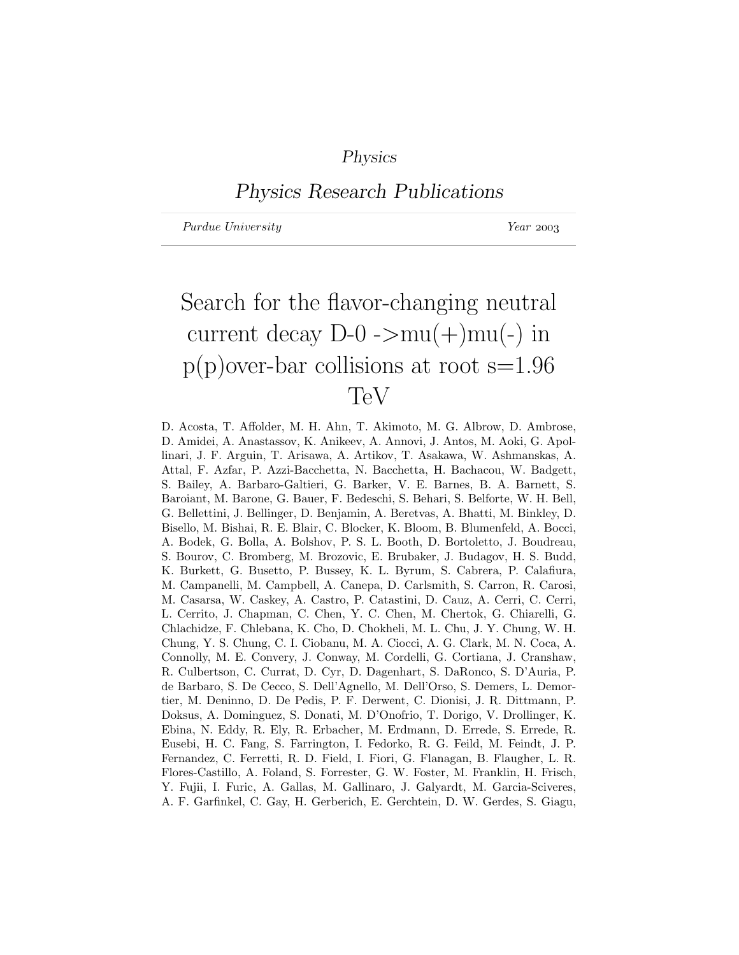## Physics

# Physics Research Publications

Purdue University Year 2003

# Search for the flavor-changing neutral current decay  $D-0$  ->mu(+)mu(-) in  $p(p)$ over-bar collisions at root s=1.96 TeV

D. Acosta, T. Affolder, M. H. Ahn, T. Akimoto, M. G. Albrow, D. Ambrose, D. Amidei, A. Anastassov, K. Anikeev, A. Annovi, J. Antos, M. Aoki, G. Apollinari, J. F. Arguin, T. Arisawa, A. Artikov, T. Asakawa, W. Ashmanskas, A. Attal, F. Azfar, P. Azzi-Bacchetta, N. Bacchetta, H. Bachacou, W. Badgett, S. Bailey, A. Barbaro-Galtieri, G. Barker, V. E. Barnes, B. A. Barnett, S. Baroiant, M. Barone, G. Bauer, F. Bedeschi, S. Behari, S. Belforte, W. H. Bell, G. Bellettini, J. Bellinger, D. Benjamin, A. Beretvas, A. Bhatti, M. Binkley, D. Bisello, M. Bishai, R. E. Blair, C. Blocker, K. Bloom, B. Blumenfeld, A. Bocci, A. Bodek, G. Bolla, A. Bolshov, P. S. L. Booth, D. Bortoletto, J. Boudreau, S. Bourov, C. Bromberg, M. Brozovic, E. Brubaker, J. Budagov, H. S. Budd, K. Burkett, G. Busetto, P. Bussey, K. L. Byrum, S. Cabrera, P. Calafiura, M. Campanelli, M. Campbell, A. Canepa, D. Carlsmith, S. Carron, R. Carosi, M. Casarsa, W. Caskey, A. Castro, P. Catastini, D. Cauz, A. Cerri, C. Cerri, L. Cerrito, J. Chapman, C. Chen, Y. C. Chen, M. Chertok, G. Chiarelli, G. Chlachidze, F. Chlebana, K. Cho, D. Chokheli, M. L. Chu, J. Y. Chung, W. H. Chung, Y. S. Chung, C. I. Ciobanu, M. A. Ciocci, A. G. Clark, M. N. Coca, A. Connolly, M. E. Convery, J. Conway, M. Cordelli, G. Cortiana, J. Cranshaw, R. Culbertson, C. Currat, D. Cyr, D. Dagenhart, S. DaRonco, S. D'Auria, P. de Barbaro, S. De Cecco, S. Dell'Agnello, M. Dell'Orso, S. Demers, L. Demortier, M. Deninno, D. De Pedis, P. F. Derwent, C. Dionisi, J. R. Dittmann, P. Doksus, A. Dominguez, S. Donati, M. D'Onofrio, T. Dorigo, V. Drollinger, K. Ebina, N. Eddy, R. Ely, R. Erbacher, M. Erdmann, D. Errede, S. Errede, R. Eusebi, H. C. Fang, S. Farrington, I. Fedorko, R. G. Feild, M. Feindt, J. P. Fernandez, C. Ferretti, R. D. Field, I. Fiori, G. Flanagan, B. Flaugher, L. R. Flores-Castillo, A. Foland, S. Forrester, G. W. Foster, M. Franklin, H. Frisch, Y. Fujii, I. Furic, A. Gallas, M. Gallinaro, J. Galyardt, M. Garcia-Sciveres, A. F. Garfinkel, C. Gay, H. Gerberich, E. Gerchtein, D. W. Gerdes, S. Giagu,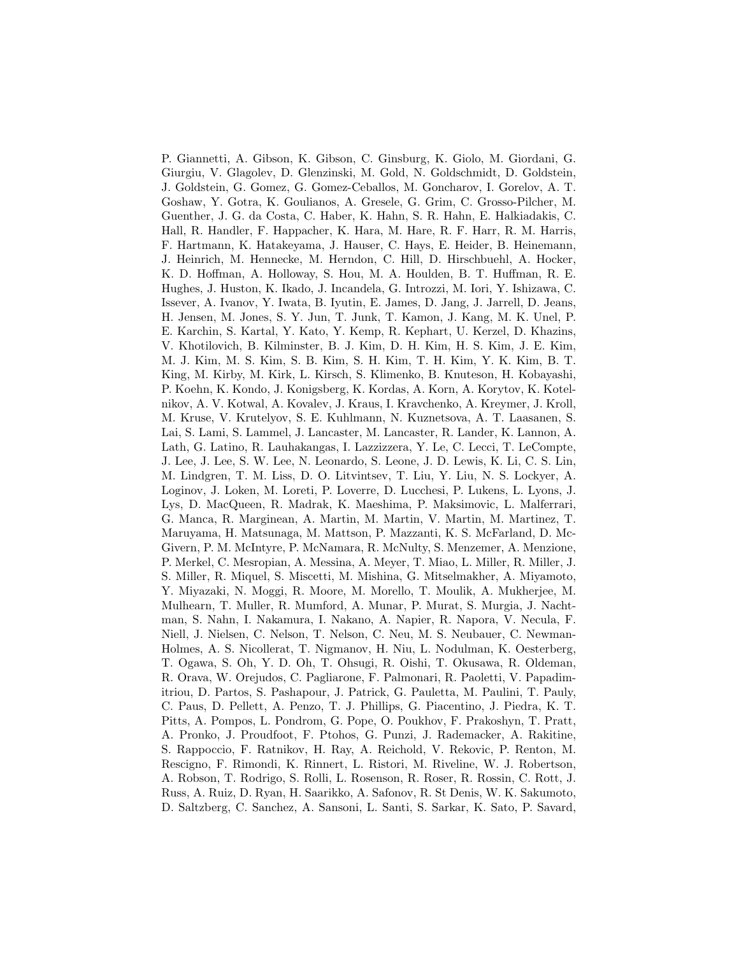P. Giannetti, A. Gibson, K. Gibson, C. Ginsburg, K. Giolo, M. Giordani, G. Giurgiu, V. Glagolev, D. Glenzinski, M. Gold, N. Goldschmidt, D. Goldstein, J. Goldstein, G. Gomez, G. Gomez-Ceballos, M. Goncharov, I. Gorelov, A. T. Goshaw, Y. Gotra, K. Goulianos, A. Gresele, G. Grim, C. Grosso-Pilcher, M. Guenther, J. G. da Costa, C. Haber, K. Hahn, S. R. Hahn, E. Halkiadakis, C. Hall, R. Handler, F. Happacher, K. Hara, M. Hare, R. F. Harr, R. M. Harris, F. Hartmann, K. Hatakeyama, J. Hauser, C. Hays, E. Heider, B. Heinemann, J. Heinrich, M. Hennecke, M. Herndon, C. Hill, D. Hirschbuehl, A. Hocker, K. D. Hoffman, A. Holloway, S. Hou, M. A. Houlden, B. T. Huffman, R. E. Hughes, J. Huston, K. Ikado, J. Incandela, G. Introzzi, M. Iori, Y. Ishizawa, C. Issever, A. Ivanov, Y. Iwata, B. Iyutin, E. James, D. Jang, J. Jarrell, D. Jeans, H. Jensen, M. Jones, S. Y. Jun, T. Junk, T. Kamon, J. Kang, M. K. Unel, P. E. Karchin, S. Kartal, Y. Kato, Y. Kemp, R. Kephart, U. Kerzel, D. Khazins, V. Khotilovich, B. Kilminster, B. J. Kim, D. H. Kim, H. S. Kim, J. E. Kim, M. J. Kim, M. S. Kim, S. B. Kim, S. H. Kim, T. H. Kim, Y. K. Kim, B. T. King, M. Kirby, M. Kirk, L. Kirsch, S. Klimenko, B. Knuteson, H. Kobayashi, P. Koehn, K. Kondo, J. Konigsberg, K. Kordas, A. Korn, A. Korytov, K. Kotelnikov, A. V. Kotwal, A. Kovalev, J. Kraus, I. Kravchenko, A. Kreymer, J. Kroll, M. Kruse, V. Krutelyov, S. E. Kuhlmann, N. Kuznetsova, A. T. Laasanen, S. Lai, S. Lami, S. Lammel, J. Lancaster, M. Lancaster, R. Lander, K. Lannon, A. Lath, G. Latino, R. Lauhakangas, I. Lazzizzera, Y. Le, C. Lecci, T. LeCompte, J. Lee, J. Lee, S. W. Lee, N. Leonardo, S. Leone, J. D. Lewis, K. Li, C. S. Lin, M. Lindgren, T. M. Liss, D. O. Litvintsev, T. Liu, Y. Liu, N. S. Lockyer, A. Loginov, J. Loken, M. Loreti, P. Loverre, D. Lucchesi, P. Lukens, L. Lyons, J. Lys, D. MacQueen, R. Madrak, K. Maeshima, P. Maksimovic, L. Malferrari, G. Manca, R. Marginean, A. Martin, M. Martin, V. Martin, M. Martinez, T. Maruyama, H. Matsunaga, M. Mattson, P. Mazzanti, K. S. McFarland, D. Mc-Givern, P. M. McIntyre, P. McNamara, R. McNulty, S. Menzemer, A. Menzione, P. Merkel, C. Mesropian, A. Messina, A. Meyer, T. Miao, L. Miller, R. Miller, J. S. Miller, R. Miquel, S. Miscetti, M. Mishina, G. Mitselmakher, A. Miyamoto, Y. Miyazaki, N. Moggi, R. Moore, M. Morello, T. Moulik, A. Mukherjee, M. Mulhearn, T. Muller, R. Mumford, A. Munar, P. Murat, S. Murgia, J. Nachtman, S. Nahn, I. Nakamura, I. Nakano, A. Napier, R. Napora, V. Necula, F. Niell, J. Nielsen, C. Nelson, T. Nelson, C. Neu, M. S. Neubauer, C. Newman-Holmes, A. S. Nicollerat, T. Nigmanov, H. Niu, L. Nodulman, K. Oesterberg, T. Ogawa, S. Oh, Y. D. Oh, T. Ohsugi, R. Oishi, T. Okusawa, R. Oldeman, R. Orava, W. Orejudos, C. Pagliarone, F. Palmonari, R. Paoletti, V. Papadimitriou, D. Partos, S. Pashapour, J. Patrick, G. Pauletta, M. Paulini, T. Pauly, C. Paus, D. Pellett, A. Penzo, T. J. Phillips, G. Piacentino, J. Piedra, K. T. Pitts, A. Pompos, L. Pondrom, G. Pope, O. Poukhov, F. Prakoshyn, T. Pratt, A. Pronko, J. Proudfoot, F. Ptohos, G. Punzi, J. Rademacker, A. Rakitine, S. Rappoccio, F. Ratnikov, H. Ray, A. Reichold, V. Rekovic, P. Renton, M. Rescigno, F. Rimondi, K. Rinnert, L. Ristori, M. Riveline, W. J. Robertson, A. Robson, T. Rodrigo, S. Rolli, L. Rosenson, R. Roser, R. Rossin, C. Rott, J. Russ, A. Ruiz, D. Ryan, H. Saarikko, A. Safonov, R. St Denis, W. K. Sakumoto, D. Saltzberg, C. Sanchez, A. Sansoni, L. Santi, S. Sarkar, K. Sato, P. Savard,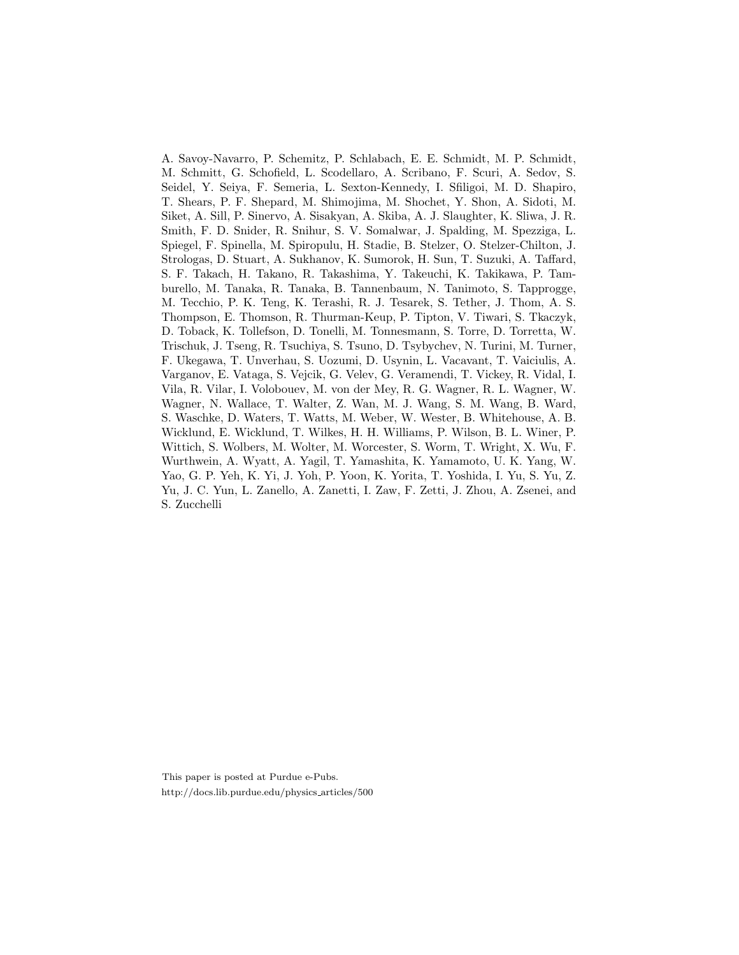A. Savoy-Navarro, P. Schemitz, P. Schlabach, E. E. Schmidt, M. P. Schmidt, M. Schmitt, G. Schofield, L. Scodellaro, A. Scribano, F. Scuri, A. Sedov, S. Seidel, Y. Seiya, F. Semeria, L. Sexton-Kennedy, I. Sfiligoi, M. D. Shapiro, T. Shears, P. F. Shepard, M. Shimojima, M. Shochet, Y. Shon, A. Sidoti, M. Siket, A. Sill, P. Sinervo, A. Sisakyan, A. Skiba, A. J. Slaughter, K. Sliwa, J. R. Smith, F. D. Snider, R. Snihur, S. V. Somalwar, J. Spalding, M. Spezziga, L. Spiegel, F. Spinella, M. Spiropulu, H. Stadie, B. Stelzer, O. Stelzer-Chilton, J. Strologas, D. Stuart, A. Sukhanov, K. Sumorok, H. Sun, T. Suzuki, A. Taffard, S. F. Takach, H. Takano, R. Takashima, Y. Takeuchi, K. Takikawa, P. Tamburello, M. Tanaka, R. Tanaka, B. Tannenbaum, N. Tanimoto, S. Tapprogge, M. Tecchio, P. K. Teng, K. Terashi, R. J. Tesarek, S. Tether, J. Thom, A. S. Thompson, E. Thomson, R. Thurman-Keup, P. Tipton, V. Tiwari, S. Tkaczyk, D. Toback, K. Tollefson, D. Tonelli, M. Tonnesmann, S. Torre, D. Torretta, W. Trischuk, J. Tseng, R. Tsuchiya, S. Tsuno, D. Tsybychev, N. Turini, M. Turner, F. Ukegawa, T. Unverhau, S. Uozumi, D. Usynin, L. Vacavant, T. Vaiciulis, A. Varganov, E. Vataga, S. Vejcik, G. Velev, G. Veramendi, T. Vickey, R. Vidal, I. Vila, R. Vilar, I. Volobouev, M. von der Mey, R. G. Wagner, R. L. Wagner, W. Wagner, N. Wallace, T. Walter, Z. Wan, M. J. Wang, S. M. Wang, B. Ward, S. Waschke, D. Waters, T. Watts, M. Weber, W. Wester, B. Whitehouse, A. B. Wicklund, E. Wicklund, T. Wilkes, H. H. Williams, P. Wilson, B. L. Winer, P. Wittich, S. Wolbers, M. Wolter, M. Worcester, S. Worm, T. Wright, X. Wu, F. Wurthwein, A. Wyatt, A. Yagil, T. Yamashita, K. Yamamoto, U. K. Yang, W. Yao, G. P. Yeh, K. Yi, J. Yoh, P. Yoon, K. Yorita, T. Yoshida, I. Yu, S. Yu, Z. Yu, J. C. Yun, L. Zanello, A. Zanetti, I. Zaw, F. Zetti, J. Zhou, A. Zsenei, and S. Zucchelli

This paper is posted at Purdue e-Pubs. http://docs.lib.purdue.edu/physics articles/500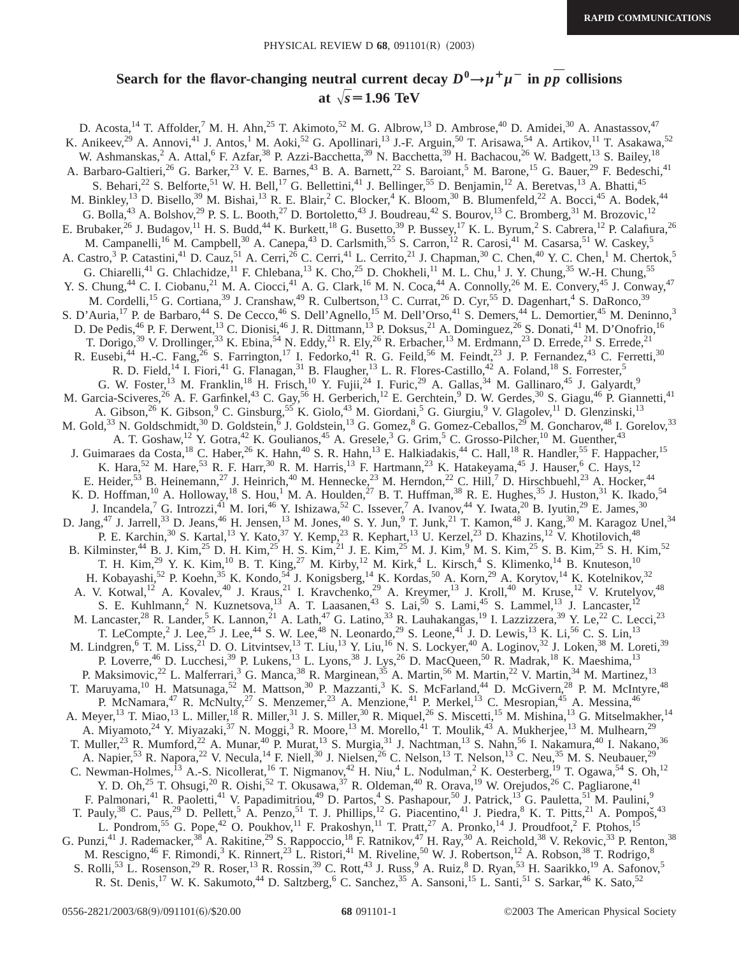### **Search for the flavor-changing neutral current decay**  $D^0 \rightarrow \mu^+ \mu^-$  **in**  $p\bar{p}$  **collisions** at  $\sqrt{s}$  = 1.96 TeV

D. Acosta,<sup>14</sup> T. Affolder,<sup>7</sup> M. H. Ahn,<sup>25</sup> T. Akimoto,<sup>52</sup> M. G. Albrow,<sup>13</sup> D. Ambrose,<sup>40</sup> D. Amidei,<sup>30</sup> A. Anastassov,<sup>47</sup> K. Anikeev,<sup>29</sup> A. Annovi,<sup>41</sup> J. Antos,<sup>1</sup> M. Aoki,<sup>52</sup> G. Apollinari,<sup>13</sup> J.-F. Arguin,<sup>50</sup> T. Arisawa,<sup>54</sup> A. Artikov,<sup>11</sup> T. Asakawa,<sup>52</sup> W. Ashmanskas,<sup>2</sup> A. Attal,<sup>6</sup> F. Azfar,<sup>38</sup> P. Azzi-Bacchetta,<sup>39</sup> N. Bacchetta,<sup>39</sup> H. Bachacou,<sup>26</sup> W. Badgett,<sup>13</sup> S. Bailey,<sup>18</sup> A. Barbaro-Galtieri,<sup>26</sup> G. Barker,<sup>23</sup> V. E. Barnes,<sup>43</sup> B. A. Barnett,<sup>22</sup> S. Baroiant,<sup>5</sup> M. Barone,<sup>15</sup> G. Bauer,<sup>29</sup> F. Bedeschi,<sup>41</sup> S. Behari,<sup>22</sup> S. Belforte,<sup>51</sup> W. H. Bell,<sup>17</sup> G. Bellettini,<sup>41</sup> J. Bellinger,<sup>55</sup> D. Benjamin,<sup>12</sup> A. Beretvas,<sup>13</sup> A. Bhatti,<sup>45</sup> M. Binkley,<sup>13</sup> D. Bisello,<sup>39</sup> M. Bishai,<sup>13</sup> R. E. Blair,<sup>2</sup> C. Blocker,<sup>4</sup> K. Bloom,<sup>30</sup> B. Blumenfeld,<sup>22</sup> A. Bocci,<sup>45</sup> A. Bodek,<sup>44</sup> G. Bolla,<sup>43</sup> A. Bolshov,<sup>29</sup> P. S. L. Booth,<sup>27</sup> D. Bortoletto,<sup>43</sup> J. Boudreau,<sup>42</sup> S. Bourov,<sup>13</sup> C. Bromberg,<sup>31</sup> M. Brozovic,<sup>12</sup> E. Brubaker,  $^{26}$  J. Budagov,  $^{11}$  H. S. Budd,  $^{44}$  K. Burkett,  $^{18}$  G. Busetto,  $^{39}$  P. Bussey,  $^{17}$  K. L. Byrum,  $^2$  S. Cabrera,  $^{12}$  P. Calafiura,  $^{26}$ M. Campanelli,<sup>16</sup> M. Campbell,<sup>30</sup> A. Canepa,<sup>43</sup> D. Carlsmith,<sup>55</sup> S. Carron,<sup>12</sup> R. Carosi,<sup>41</sup> M. Casarsa,<sup>51</sup> W. Caskey,<sup>5</sup> A. Castro,<sup>3</sup> P. Catastini,<sup>41</sup> D. Cauz,<sup>51</sup> A. Cerri,<sup>26</sup> C. Cerri,<sup>41</sup> L. Cerrito,<sup>21</sup> J. Chapman,<sup>30</sup> C. Chen,<sup>40</sup> Y. C. Chen,<sup>1</sup> M. Chertok,<sup>5</sup> G. Chiarelli,<sup>41</sup> G. Chlachidze,<sup>11</sup> F. Chlebana,<sup>13</sup> K. Cho,<sup>25</sup> D. Chokheli,<sup>11</sup> M. L. Chu,<sup>1</sup> J. Y. Chung,<sup>35</sup> W.-H. Chung,<sup>55</sup> Y. S. Chung,<sup>44</sup> C. I. Ciobanu,<sup>21</sup> M. A. Ciocci,<sup>41</sup> A. G. Clark,<sup>16</sup> M. N. Coca,<sup>44</sup> A. Connolly,<sup>26</sup> M. E. Convery,<sup>45</sup> J. Conway,<sup>47</sup> M. Cordelli,<sup>15</sup> G. Cortiana,<sup>39</sup> J. Cranshaw,<sup>49</sup> R. Culbertson,<sup>13</sup> C. Currat,<sup>26</sup> D. Cyr,<sup>55</sup> D. Dagenhart,<sup>4</sup> S. DaRonco,<sup>39</sup> S. D'Auria,<sup>17</sup> P. de Barbaro,<sup>44</sup> S. De Cecco,<sup>46</sup> S. Dell'Agnello,<sup>15</sup> M. Dell'Orso,<sup>41</sup> S. Demers,<sup>44</sup> L. Demortier,<sup>45</sup> M. Deninno,<sup>3</sup> D. De Pedis,<sup>46</sup> P. F. Derwent,<sup>13</sup> C. Dionisi,<sup>46</sup> J. R. Dittmann,<sup>13</sup> P. Doksus,<sup>21</sup> A. Dominguez,<sup>26</sup> S. Donati,<sup>41</sup> M. D'Onofrio,<sup>16</sup> T. Dorigo,<sup>39</sup> V. Drollinger,<sup>33</sup> K. Ebina,<sup>54</sup> N. Eddy,<sup>21</sup> R. Ely,<sup>26</sup> R. Erbacher,<sup>13</sup> M. Erdmann,<sup>23</sup> D. Errede,<sup>21</sup> S. Errede,<sup>21</sup> R. Eusebi,<sup>44</sup> H.-C. Fang,<sup>26</sup> S. Farrington,<sup>17</sup> I. Fedorko,<sup>41</sup> R. G. Feild,<sup>56</sup> M. Feindt,<sup>23</sup> J. P. Fernandez,<sup>43</sup> C. Ferretti,<sup>30</sup> R. D. Field,<sup>14</sup> I. Fiori,<sup>41</sup> G. Flanagan,<sup>31</sup> B. Flaugher,<sup>13</sup> L. R. Flores-Castillo,<sup>42</sup> A. Foland,<sup>18</sup> S. Forrester,<sup>5</sup> G. W. Foster,<sup>13</sup> M. Franklin,<sup>18</sup> H. Frisch,<sup>10</sup> Y. Fujii,<sup>24</sup> I. Furic,<sup>29</sup> A. Gallas,<sup>34</sup> M. Gallinaro,<sup>45</sup> J. Galyardt,<sup>9</sup> M. Garcia-Sciveres,<sup>26</sup> A. F. Garfinkel,<sup>43</sup> C. Gay,<sup>56</sup> H. Gerberich,<sup>12</sup> E. Gerchtein,<sup>9</sup> D. W. Gerdes,<sup>30</sup> S. Giagu,<sup>46</sup> P. Giannetti,<sup>41</sup> A. Gibson,<sup>26</sup> K. Gibson,<sup>9</sup> C. Ginsburg,<sup>55</sup> K. Giolo,<sup>43</sup> M. Giordani,<sup>5</sup> G. Giurgiu,<sup>9</sup> V. Glagolev,<sup>11</sup> D. Glenzinski,<sup>13</sup> M. Gold,<sup>33</sup> N. Goldschmidt,<sup>30</sup> D. Goldstein,<sup>6</sup> J. Goldstein,<sup>13</sup> G. Gomez, <sup>8</sup> G. Gomez-Ceballos,<sup>29</sup> M. Goncharov,<sup>48</sup> I. Gorelov,<sup>33</sup> A. T. Goshaw,<sup>12</sup> Y. Gotra,<sup>42</sup> K. Goulianos,<sup>45</sup> A. Gresele,<sup>3</sup> G. Grim,<sup>5</sup> C. Grosso-Pilcher,<sup>10</sup> M. Guenther,<sup>43</sup> J. Guimaraes da Costa,<sup>18</sup> C. Haber,<sup>26</sup> K. Hahn,<sup>40</sup> S. R. Hahn,<sup>13</sup> E. Halkiadakis,<sup>44</sup> C. Hall,<sup>18</sup> R. Handler,<sup>55</sup> F. Happacher,<sup>15</sup> K. Hara,<sup>52</sup> M. Hare,<sup>53</sup> R. F. Harr,<sup>30</sup> R. M. Harris,<sup>13</sup> F. Hartmann,<sup>23</sup> K. Hatakeyama,<sup>45</sup> J. Hauser,<sup>6</sup> C. Hays,<sup>12</sup> E. Heider,<sup>53</sup> B. Heinemann,<sup>27</sup> J. Heinrich,<sup>40</sup> M. Hennecke,<sup>23</sup> M. Herndon,<sup>22</sup> C. Hill,<sup>7</sup> D. Hirschbuehl,<sup>23</sup> A. Hocker,<sup>44</sup> K. D. Hoffman,<sup>10</sup> A. Holloway,<sup>18</sup> S. Hou,<sup>1</sup> M. A. Houlden,<sup>27</sup> B. T. Huffman,<sup>38</sup> R. E. Hughes,<sup>35</sup> J. Huston,<sup>31</sup> K. Ikado,<sup>54</sup> J. Incandela,<sup>7</sup> G. Introzzi,<sup>41</sup> M. Iori,<sup>46</sup> Y. Ishizawa,<sup>52</sup> C. Issever,<sup>7</sup> A. Ivanov,<sup>44</sup> Y. Iwata,<sup>20</sup> B. Iyutin,<sup>29</sup> E. James,<sup>30</sup> D. Jang,<sup>47</sup> J. Jarrell,<sup>33</sup> D. Jeans,<sup>46</sup> H. Jensen,<sup>13</sup> M. Jones,<sup>40</sup> S. Y. Jun,<sup>9</sup> T. Junk,<sup>21</sup> T. Kamon,<sup>48</sup> J. Kang,<sup>30</sup> M. Karagoz Unel,<sup>34</sup> P. E. Karchin,<sup>30</sup> S. Kartal,<sup>13</sup> Y. Kato,<sup>37</sup> Y. Kemp,<sup>23</sup> R. Kephart,<sup>13</sup> U. Kerzel,<sup>23</sup> D. Khazins,<sup>12</sup> V. Khotilovich,<sup>48</sup> B. Kilminster,<sup>44</sup> B. J. Kim,<sup>25</sup> D. H. Kim,<sup>25</sup> H. S. Kim,<sup>21</sup> J. E. Kim,<sup>25</sup> M. J. Kim,<sup>9</sup> M. S. Kim,<sup>25</sup> S. B. Kim,<sup>25</sup> S. H. Kim,<sup>52</sup> T. H. Kim,<sup>29</sup> Y. K. Kim,<sup>10</sup> B. T. King,<sup>27</sup> M. Kirby,<sup>12</sup> M. Kirk,<sup>4</sup> L. Kirsch,<sup>4</sup> S. Klimenko,<sup>14</sup> B. Knuteson,<sup>10</sup> H. Kobayashi,<sup>52</sup> P. Koehn,<sup>35</sup> K. Kondo,<sup>54</sup> J. Konigsberg,<sup>14</sup> K. Kordas,<sup>50</sup> A. Korn,<sup>29</sup> A. Korytov,<sup>14</sup> K. Kotelnikov,<sup>32</sup> A. V. Kotwal,<sup>12</sup> A. Kovalev,<sup>40</sup> J. Kraus,<sup>21</sup> I. Kravchenko,<sup>29</sup> A. Kreymer,<sup>13</sup> J. Kroll,<sup>40</sup> M. Kruse,<sup>12</sup> V. Krutelyov,<sup>48</sup> S. E. Kuhlmann,<sup>2</sup> N. Kuznetsova,<sup>13</sup> A. T. Laasanen,<sup>43</sup> S. Lai,<sup>50</sup> S. Lami,<sup>45</sup> S. Lammel,<sup>13</sup> J. Lancaster,<sup>12</sup> M. Lancaster,<sup>28</sup> R. Lander,<sup>5</sup> K. Lannon,<sup>21</sup> A. Lath,<sup>47</sup> G. Latino,<sup>33</sup> R. Lauhakangas,<sup>19</sup> I. Lazzizzera,<sup>39</sup> Y. Le,<sup>22</sup> C. Lecci,<sup>23</sup> T. LeCompte,<sup>2</sup> J. Lee,<sup>25</sup> J. Lee,<sup>44</sup> S. W. Lee,<sup>48</sup> N. Leonardo,<sup>29</sup> S. Leone,<sup>4T</sup> J. D. Lewis,<sup>13</sup> K. Li,<sup>56</sup> C. S. Lin,<sup>13</sup> M. Lindgren,<sup>6</sup> T. M. Liss,<sup>21</sup> D. O. Litvintsev,<sup>13</sup> T. Liu,<sup>13</sup> Y. Liu,<sup>16</sup> N. S. Lockyer,<sup>40</sup> A. Loginov,<sup>32</sup> J. Loken,<sup>38</sup> M. Loreti,<sup>39</sup> P. Loverre,<sup>46</sup> D. Lucchesi,<sup>39</sup> P. Lukens,<sup>13</sup> L. Lyons,<sup>38</sup> J. Lys,<sup>26</sup> D. MacQueen,<sup>50</sup> R. Madrak,<sup>18</sup> K. Maeshima,<sup>13</sup> P. Maksimovic,<sup>22</sup> L. Malferrari,<sup>3</sup> G. Manca,<sup>38</sup> R. Marginean,<sup>35</sup> A. Martin,<sup>56</sup> M. Martin,<sup>22</sup> V. Martin,<sup>34</sup> M. Martinez,<sup>13</sup> T. Maruyama,<sup>10</sup> H. Matsunaga,<sup>52</sup> M. Mattson,<sup>30</sup> P. Mazzanti,<sup>3</sup> K. S. McFarland,<sup>44</sup> D. McGivern,<sup>28</sup> P. M. McIntyre,<sup>48</sup> P. McNamara,<sup>47</sup> R. McNulty,<sup>27</sup> S. Menzemer,<sup>23</sup> A. Menzione,<sup>41</sup> P. Merkel,<sup>13</sup> C. Mesropian,<sup>45</sup> A. Messina,<sup>46</sup> A. Meyer,<sup>13</sup> T. Miao,<sup>13</sup> L. Miller,<sup>18</sup> R. Miller,<sup>31</sup> J. S. Miller,<sup>30</sup> R. Miquel,<sup>26</sup> S. Miscetti,<sup>15</sup> M. Mishina,<sup>13</sup> G. Mitselmakher,<sup>14</sup> A. Miyamoto,<sup>24</sup> Y. Miyazaki,<sup>37</sup> N. Moggi,<sup>3</sup> R. Moore,<sup>13</sup> M. Morello,<sup>41</sup> T. Moulik,<sup>43</sup> A. Mukherjee,<sup>13</sup> M. Mulhearn,<sup>29</sup> T. Muller,<sup>23</sup> R. Mumford,<sup>22</sup> A. Munar,<sup>40</sup> P. Murat,<sup>13</sup> S. Murgia,<sup>31</sup> J. Nachtman,<sup>13</sup> S. Nahn,<sup>56</sup> I. Nakamura,<sup>40</sup> I. Nakano,<sup>36</sup> A. Napier,<sup>53</sup> R. Napora,<sup>22</sup> V. Necula,<sup>14</sup> F. Niell,<sup>30</sup> J. Nielsen,<sup>26</sup> C. Nelson,<sup>13</sup> T. Nelson,<sup>13</sup> C. Neu,<sup>35</sup> M. S. Neubauer,<sup>29</sup> C. Newman-Holmes,<sup>13</sup> A.-S. Nicollerat,<sup>16</sup> T. Nigmanov,<sup>42</sup> H. Niu,<sup>4</sup> L. Nodulman,<sup>2</sup> K. Oesterberg,<sup>19</sup> T. Ogawa,<sup>54</sup> S. Oh,<sup>12</sup> Y. D. Oh,<sup>25</sup> T. Ohsugi,<sup>20</sup> R. Oishi,<sup>52</sup> T. Okusawa,<sup>37</sup> R. Oldeman,<sup>40</sup> R. Orava,<sup>19</sup> W. Orejudos,<sup>26</sup> C. Pagliarone,<sup>41</sup> F. Palmonari,<sup>41</sup> R. Paoletti,<sup>41</sup> V. Papadimitriou,<sup>49</sup> D. Partos,<sup>4</sup> S. Pashapour,<sup>50</sup> J. Patrick,<sup>13</sup> G. Pauletta,<sup>51</sup> M. Paulini,<sup>9</sup> T. Pauly,<sup>38</sup> C. Paus,<sup>29</sup> D. Pellett,<sup>5</sup> A. Penzo,<sup>51</sup> T. J. Phillips,<sup>12</sup> G. Piacentino,<sup>41</sup> J. Piedra,<sup>8</sup> K. T. Pitts,<sup>21</sup> A. Pompoš,<sup>43</sup> L. Pondrom,<sup>55</sup> G. Pope,<sup>42</sup> O. Poukhov,<sup>11</sup> F. Prakoshyn,<sup>11</sup> T. Pratt,<sup>27</sup> A. Pronko,<sup>14</sup> J. Proudfoot,<sup>2</sup> F. Ptohos,<sup>15</sup> G. Punzi,<sup>41</sup> J. Rademacker,<sup>38</sup> A. Rakitine,<sup>29</sup> S. Rappoccio,<sup>18</sup> F. Ratnikov,<sup>47</sup> H. Ray,<sup>30</sup> A. Reichold,<sup>38</sup> V. Rekovic,<sup>33</sup> P. Renton,<sup>38</sup> M. Rescigno,<sup>46</sup> F. Rimondi,<sup>3</sup> K. Rinnert,<sup>23</sup> L. Ristori,<sup>41</sup> M. Riveline,<sup>50</sup> W. J. Robertson,<sup>12</sup> A. Robson,<sup>38</sup> T. Rodrigo,<sup>8</sup> S. Rolli,<sup>53</sup> L. Rosenson,<sup>29</sup> R. Roser,<sup>13</sup> R. Rossin,<sup>39</sup> C. Rott,<sup>43</sup> J. Russ,<sup>9</sup> A. Ruiz,<sup>8</sup> D. Ryan,<sup>53</sup> H. Saarikko,<sup>19</sup> A. Safonov,<sup>5</sup> R. St. Denis,<sup>17</sup> W. K. Sakumoto,<sup>44</sup> D. Saltzberg,<sup>6</sup> C. Sanchez,<sup>35</sup> A. Sansoni,<sup>15</sup> L. Santi,<sup>51</sup> S. Sarkar,<sup>46</sup> K. Sato,<sup>52</sup>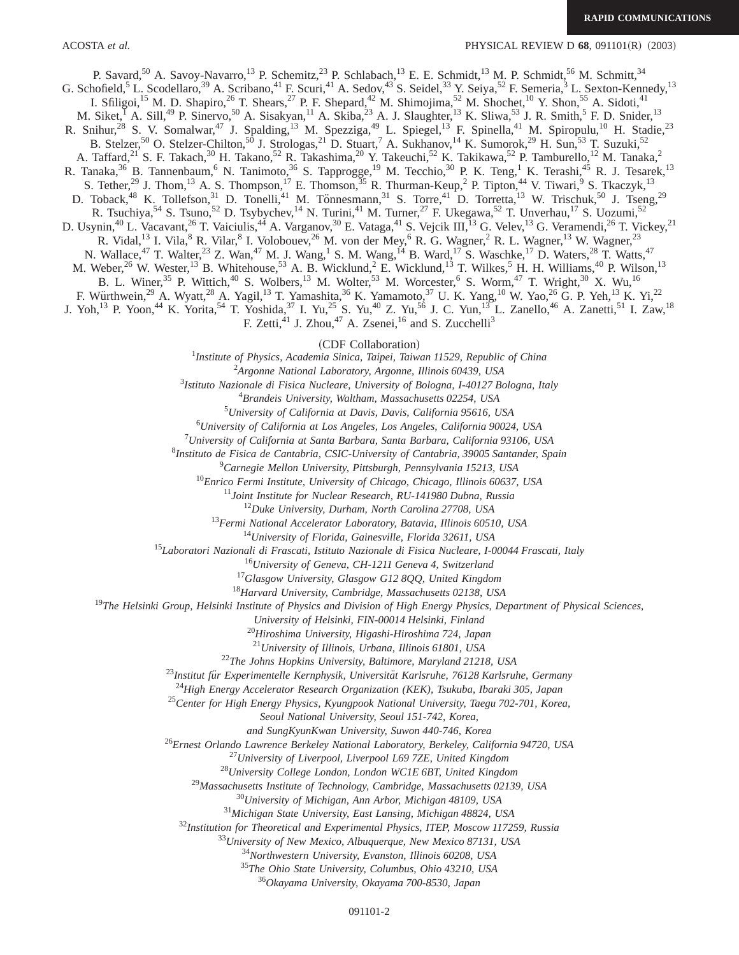P. Savard,<sup>50</sup> A. Savoy-Navarro,<sup>13</sup> P. Schemitz,<sup>23</sup> P. Schlabach,<sup>13</sup> E. E. Schmidt,<sup>13</sup> M. P. Schmidt,<sup>56</sup> M. Schmitt,<sup>34</sup> G. Schofield,<sup>5</sup> L. Scodellaro,<sup>39</sup> A. Scribano,<sup>41</sup> F. Scuri,<sup>41</sup> A. Sedov,<sup>43</sup> S. Seidel,<sup>33</sup> Y. Seiya,<sup>52</sup> F. Semeria,<sup>3</sup> L. Sexton-Kennedy,<sup>13</sup> I. Sfiligoi,<sup>15</sup> M. D. Shapiro,<sup>26</sup> T. Shears,<sup>27</sup> P. F. Shepard,<sup>42</sup> M. Shimojima,<sup>52</sup> M. Shochet,<sup>10</sup> Y. Shon,<sup>55</sup> A. Sidoti,<sup>41</sup> M. Siket, A. Sill,<sup>49</sup> P. Sinervo,<sup>50</sup> A. Sisakyan,<sup>11</sup> A. Skiba,<sup>23</sup> A. J. Slaughter,<sup>13</sup> K. Sliwa,<sup>53</sup> J. R. Smith,<sup>5</sup> F. D. Snider,<sup>13</sup> R. Snihur,<sup>28</sup> S. V. Somalwar,<sup>47</sup> J. Spalding,<sup>13</sup> M. Spezziga,<sup>49</sup> L. Spiegel,<sup>13</sup> F. Spinella,<sup>41</sup> M. Spiropulu,<sup>10</sup> H. Stadie,<sup>23</sup> B. Stelzer,<sup>50</sup> O. Stelzer-Chilton,<sup>50</sup> J. Strologas,<sup>21</sup> D. Stuart,<sup>7</sup> A. Sukhanov,<sup>14</sup> K. Sumorok,<sup>29</sup> H. Sun,<sup>53</sup> T. Suzuki,<sup>52</sup> A. Taffard,<sup>21</sup> S. F. Takach,<sup>30</sup> H. Takano,<sup>52</sup> R. Takashima,<sup>20</sup> Y. Takeuchi,<sup>52</sup> K. Takikawa,<sup>52</sup> P. Tamburello,<sup>12</sup> M. Tanaka,<sup>2</sup> R. Tanaka,<sup>36</sup> B. Tannenbaum,<sup>6</sup> N. Tanimoto,<sup>36</sup> S. Tapprogge,<sup>19</sup> M. Tecchio,<sup>30</sup> P. K. Teng,<sup>1</sup> K. Terashi,<sup>45</sup> R. J. Tesarek,<sup>13</sup> S. Tether,<sup>29</sup> J. Thom,<sup>13</sup> A. S. Thompson,<sup>17</sup> E. Thomson,<sup>35</sup> R. Thurman-Keup,<sup>2</sup> P. Tipton,<sup>44</sup> V. Tiwari,<sup>9</sup> S. Tkaczyk,<sup>13</sup> D. Toback,<sup>48</sup> K. Tollefson,<sup>31</sup> D. Tonelli,<sup>41</sup> M. Tönnesmann,<sup>31</sup> S. Torre,<sup>41</sup> D. Torretta,<sup>13</sup> W. Trischuk,<sup>50</sup> J. Tseng,<sup>29</sup> R. Tsuchiya,<sup>54</sup> S. Tsuno,<sup>52</sup> D. Tsybychev,<sup>14</sup> N. Turini,<sup>41</sup> M. Turner,<sup>27</sup> F. Ukegawa,<sup>52</sup> T. Unverhau,<sup>17</sup> S. Uozumi,<sup>52</sup> D. Usynin,<sup>40</sup> L. Vacavant,<sup>26</sup> T. Vaiciulis,<sup>44</sup> A. Varganov,<sup>30</sup> E. Vataga,<sup>41</sup> S. Vejcik III,<sup>13</sup> G. Velev,<sup>13</sup> G. Veramendi,<sup>26</sup> T. Vickey,<sup>21</sup> R. Vidal,<sup>13</sup> I. Vila, <sup>8</sup> R. Vilar, <sup>8</sup> I. Volobouev, <sup>26</sup> M. von der Mey, <sup>6</sup> R. G. Wagner, <sup>2</sup> R. L. Wagner, <sup>13</sup> W. Wagner, <sup>23</sup> N. Wallace,<sup>47</sup> T. Walter,<sup>23</sup> Z. Wan,<sup>47</sup> M. J. Wang,<sup>1</sup> S. M. Wang,<sup>14</sup> B. Ward,<sup>17</sup> S. Waschke,<sup>17</sup> D. Waters,<sup>28</sup> T. Watts,<sup>47</sup> M. Weber,<sup>26</sup> W. Wester,<sup>13</sup> B. Whitehouse,<sup>53</sup> A. B. Wicklund,<sup>2</sup> E. Wicklund,<sup>13</sup> T. Wilkes,<sup>5</sup> H. H. Williams,<sup>40</sup> P. Wilson,<sup>13</sup> B. L. Winer,<sup>35</sup> P. Wittich,<sup>40</sup> S. Wolbers,<sup>13</sup> M. Wolter,<sup>53</sup> M. Worcester,<sup>6</sup> S. Worm,<sup>47</sup> T. Wright,<sup>30</sup> X. Wu,<sup>16</sup> F. Würthwein,<sup>29</sup> A. Wyatt,<sup>28</sup> A. Yagil,<sup>13</sup> T. Yamashita,<sup>36</sup> K. Yamamoto,<sup>37</sup> U. K. Yang,<sup>10</sup> W. Yao,<sup>26</sup> G. P. Yeh,<sup>13</sup> K. Yi,<sup>22</sup> J. Yoh,<sup>13</sup> P. Yoon,<sup>44</sup> K. Yorita,<sup>54</sup> T. Yoshida,<sup>37</sup> I. Yu,<sup>25</sup> S. Yu,<sup>40</sup> Z. Yu,<sup>56</sup> J. C. Yun,<sup>13</sup> L. Zanello,<sup>46</sup> A. Zanetti,<sup>51</sup> I. Zaw,<sup>18</sup> F. Zetti, $^{41}$  J. Zhou, $^{47}$  A. Zsenei, $^{16}$  and S. Zucchelli<sup>3</sup>

<sup>~</sup>CDF Collaboration! <sup>1</sup> *Institute of Physics, Academia Sinica, Taipei, Taiwan 11529, Republic of China*

2 *Argonne National Laboratory, Argonne, Illinois 60439, USA*

3 *Istituto Nazionale di Fisica Nucleare, University of Bologna, I-40127 Bologna, Italy*

4 *Brandeis University, Waltham, Massachusetts 02254, USA*

5 *University of California at Davis, Davis, California 95616, USA*

6 *University of California at Los Angeles, Los Angeles, California 90024, USA*

7 *University of California at Santa Barbara, Santa Barbara, California 93106, USA*

8 *Instituto de Fisica de Cantabria, CSIC-University of Cantabria, 39005 Santander, Spain*

9 *Carnegie Mellon University, Pittsburgh, Pennsylvania 15213, USA*

<sup>10</sup>*Enrico Fermi Institute, University of Chicago, Chicago, Illinois 60637, USA*

<sup>11</sup>*Joint Institute for Nuclear Research, RU-141980 Dubna, Russia*

<sup>12</sup>*Duke University, Durham, North Carolina 27708, USA*

<sup>13</sup>*Fermi National Accelerator Laboratory, Batavia, Illinois 60510, USA*

<sup>14</sup>*University of Florida, Gainesville, Florida 32611, USA*

<sup>15</sup>*Laboratori Nazionali di Frascati, Istituto Nazionale di Fisica Nucleare, I-00044 Frascati, Italy*

<sup>16</sup>*University of Geneva, CH-1211 Geneva 4, Switzerland*

<sup>17</sup>*Glasgow University, Glasgow G12 8QQ, United Kingdom*

<sup>18</sup>*Harvard University, Cambridge, Massachusetts 02138, USA*

<sup>19</sup>*The Helsinki Group, Helsinki Institute of Physics and Division of High Energy Physics, Department of Physical Sciences,*

*University of Helsinki, FIN-00014 Helsinki, Finland*

<sup>20</sup>*Hiroshima University, Higashi-Hiroshima 724, Japan*

<sup>21</sup>*University of Illinois, Urbana, Illinois 61801, USA*

<sup>22</sup>*The Johns Hopkins University, Baltimore, Maryland 21218, USA*

<sup>23</sup>Institut für Experimentelle Kernphysik, Universität Karlsruhe, 76128 Karlsruhe, Germany

<sup>24</sup>*High Energy Accelerator Research Organization (KEK), Tsukuba, Ibaraki 305, Japan*

<sup>25</sup>*Center for High Energy Physics, Kyungpook National University, Taegu 702-701, Korea,*

*Seoul National University, Seoul 151-742, Korea,*

*and SungKyunKwan University, Suwon 440-746, Korea*

<sup>26</sup>*Ernest Orlando Lawrence Berkeley National Laboratory, Berkeley, California 94720, USA*

<sup>27</sup>*University of Liverpool, Liverpool L69 7ZE, United Kingdom*

<sup>28</sup>*University College London, London WC1E 6BT, United Kingdom*

<sup>29</sup>*Massachusetts Institute of Technology, Cambridge, Massachusetts 02139, USA*

<sup>30</sup>*University of Michigan, Ann Arbor, Michigan 48109, USA*

<sup>31</sup>*Michigan State University, East Lansing, Michigan 48824, USA*

<sup>32</sup>*Institution for Theoretical and Experimental Physics, ITEP, Moscow 117259, Russia*

<sup>33</sup>*University of New Mexico, Albuquerque, New Mexico 87131, USA*

<sup>34</sup>*Northwestern University, Evanston, Illinois 60208, USA*

<sup>35</sup>*The Ohio State University, Columbus, Ohio 43210, USA*

<sup>36</sup>*Okayama University, Okayama 700-8530, Japan*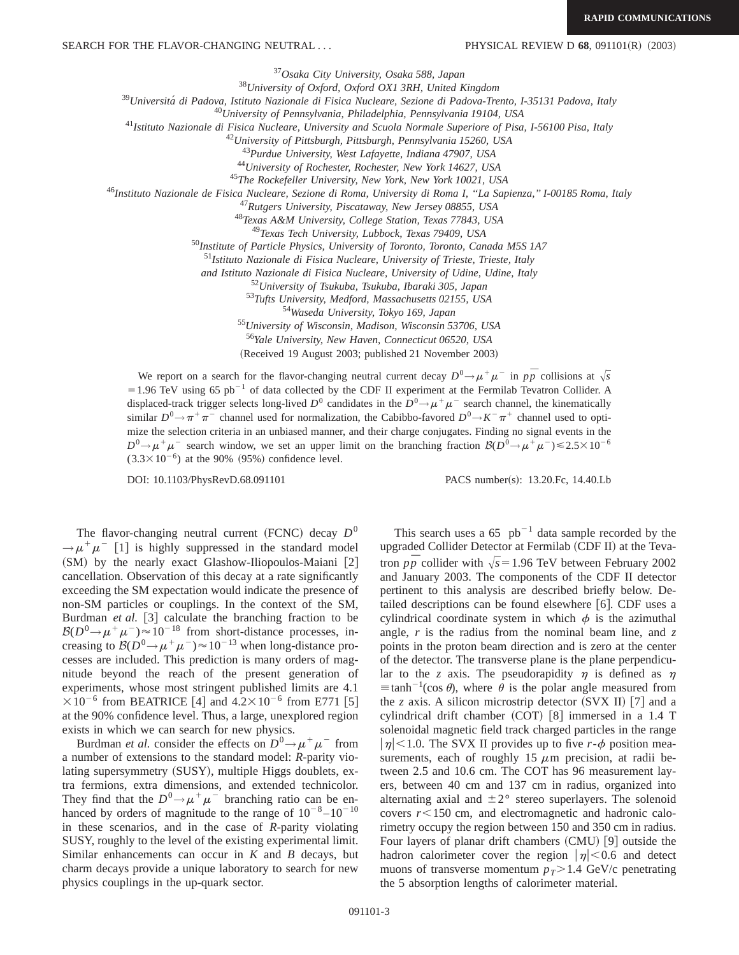<sup>37</sup>*Osaka City University, Osaka 588, Japan*

<sup>38</sup>*University of Oxford, Oxford OX1 3RH, United Kingdom*

<sup>39</sup>*Universita´ di Padova, Istituto Nazionale di Fisica Nucleare, Sezione di Padova-Trento, I-35131 Padova, Italy*

<sup>40</sup>*University of Pennsylvania, Philadelphia, Pennsylvania 19104, USA*

<sup>41</sup>*Istituto Nazionale di Fisica Nucleare, University and Scuola Normale Superiore of Pisa, I-56100 Pisa, Italy*

<sup>42</sup>*University of Pittsburgh, Pittsburgh, Pennsylvania 15260, USA*

<sup>43</sup>*Purdue University, West Lafayette, Indiana 47907, USA*

<sup>44</sup>*University of Rochester, Rochester, New York 14627, USA*

<sup>45</sup>*The Rockefeller University, New York, New York 10021, USA*

<sup>46</sup>*Instituto Nazionale de Fisica Nucleare, Sezione di Roma, University di Roma I, ''La Sapienza,'' I-00185 Roma, Italy*

<sup>47</sup>*Rutgers University, Piscataway, New Jersey 08855, USA*

<sup>48</sup>*Texas A&M University, College Station, Texas 77843, USA*

<sup>49</sup>*Texas Tech University, Lubbock, Texas 79409, USA*

<sup>50</sup>*Institute of Particle Physics, University of Toronto, Toronto, Canada M5S 1A7*

<sup>51</sup>*Istituto Nazionale di Fisica Nucleare, University of Trieste, Trieste, Italy*

*and Istituto Nazionale di Fisica Nucleare, University of Udine, Udine, Italy*

<sup>52</sup>*University of Tsukuba, Tsukuba, Ibaraki 305, Japan*

<sup>53</sup>*Tufts University, Medford, Massachusetts 02155, USA*

<sup>54</sup>*Waseda University, Tokyo 169, Japan*

<sup>55</sup>*University of Wisconsin, Madison, Wisconsin 53706, USA*

<sup>56</sup>*Yale University, New Haven, Connecticut 06520, USA*

(Received 19 August 2003; published 21 November 2003)

We report on a search for the flavor-changing neutral current decay  $D^0 \rightarrow \mu^+ \mu^-$  in  $p\bar{p}$  collisions at  $\sqrt{s}$  $=1.96$  TeV using 65 pb<sup>-1</sup> of data collected by the CDF II experiment at the Fermilab Tevatron Collider. A displaced-track trigger selects long-lived *D*<sup>0</sup> candidates in the  $D^0 \rightarrow \mu^+ \mu^-$  search channel, the kinematically similar  $D^0 \rightarrow \pi^+\pi^-$  channel used for normalization, the Cabibbo-favored  $D^0 \rightarrow K^-\pi^+$  channel used to optimize the selection criteria in an unbiased manner, and their charge conjugates. Finding no signal events in the  $D^0 \rightarrow \mu^+\mu^-$  search window, we set an upper limit on the branching fraction  $B(D^0 \rightarrow \mu^+\mu^-) \le 2.5 \times 10^{-6}$  $(3.3 \times 10^{-6})$  at the 90%  $(95%)$  confidence level.

DOI: 10.1103/PhysRevD.68.091101 PACS number(s): 13.20.Fc, 14.40.Lb

The flavor-changing neutral current (FCNC) decay  $D^0$  $\rightarrow \mu^+\mu^-$  [1] is highly suppressed in the standard model  $(SM)$  by the nearly exact Glashow-Iliopoulos-Maiani  $[2]$ cancellation. Observation of this decay at a rate significantly exceeding the SM expectation would indicate the presence of non-SM particles or couplings. In the context of the SM, Burdman *et al.* [3] calculate the branching fraction to be  $B(D^0 \rightarrow \mu^+ \mu^-) \approx 10^{-18}$  from short-distance processes, increasing to  $B(D^0 \rightarrow \mu^+ \mu^-) \approx 10^{-13}$  when long-distance processes are included. This prediction is many orders of magnitude beyond the reach of the present generation of experiments, whose most stringent published limits are 4.1  $\times 10^{-6}$  from BEATRICE [4] and  $4.2\times 10^{-6}$  from E771 [5] at the 90% confidence level. Thus, a large, unexplored region exists in which we can search for new physics.

Burdman *et al.* consider the effects on  $D^0 \rightarrow \mu^+ \mu^-$  from a number of extensions to the standard model: *R*-parity violating supersymmetry (SUSY), multiple Higgs doublets, extra fermions, extra dimensions, and extended technicolor. They find that the  $D^0 \rightarrow \mu^+ \mu^-$  branching ratio can be enhanced by orders of magnitude to the range of  $10^{-8}$  –  $10^{-10}$ in these scenarios, and in the case of *R*-parity violating SUSY, roughly to the level of the existing experimental limit. Similar enhancements can occur in *K* and *B* decays, but charm decays provide a unique laboratory to search for new physics couplings in the up-quark sector.

This search uses a  $65$  pb<sup>-1</sup> data sample recorded by the upgraded Collider Detector at Fermilab (CDF II) at the Tevatron  $p\bar{p}$  collider with  $\sqrt{s}$ =1.96 TeV between February 2002 and January 2003. The components of the CDF II detector pertinent to this analysis are described briefly below. Detailed descriptions can be found elsewhere  $[6]$ . CDF uses a cylindrical coordinate system in which  $\phi$  is the azimuthal angle, *r* is the radius from the nominal beam line, and *z* points in the proton beam direction and is zero at the center of the detector. The transverse plane is the plane perpendicular to the *z* axis. The pseudorapidity  $\eta$  is defined as  $\eta$  $\equiv$ tanh<sup>-1</sup>(cos  $\theta$ ), where  $\theta$  is the polar angle measured from the *z* axis. A silicon microstrip detector  $(SVX II)$  [7] and a cylindrical drift chamber  $(COT)$  [8] immersed in a 1.4 T solenoidal magnetic field track charged particles in the range  $|\eta|$  < 1.0. The SVX II provides up to five *r*- $\phi$  position measurements, each of roughly 15  $\mu$ m precision, at radii between 2.5 and 10.6 cm. The COT has 96 measurement layers, between 40 cm and 137 cm in radius, organized into alternating axial and  $\pm 2^{\circ}$  stereo superlayers. The solenoid covers  $r$ <150 cm, and electromagnetic and hadronic calorimetry occupy the region between 150 and 350 cm in radius. Four layers of planar drift chambers  $(CMU)$  [9] outside the hadron calorimeter cover the region  $|\eta|$  < 0.6 and detect muons of transverse momentum  $p_T$ >1.4 GeV/c penetrating the 5 absorption lengths of calorimeter material.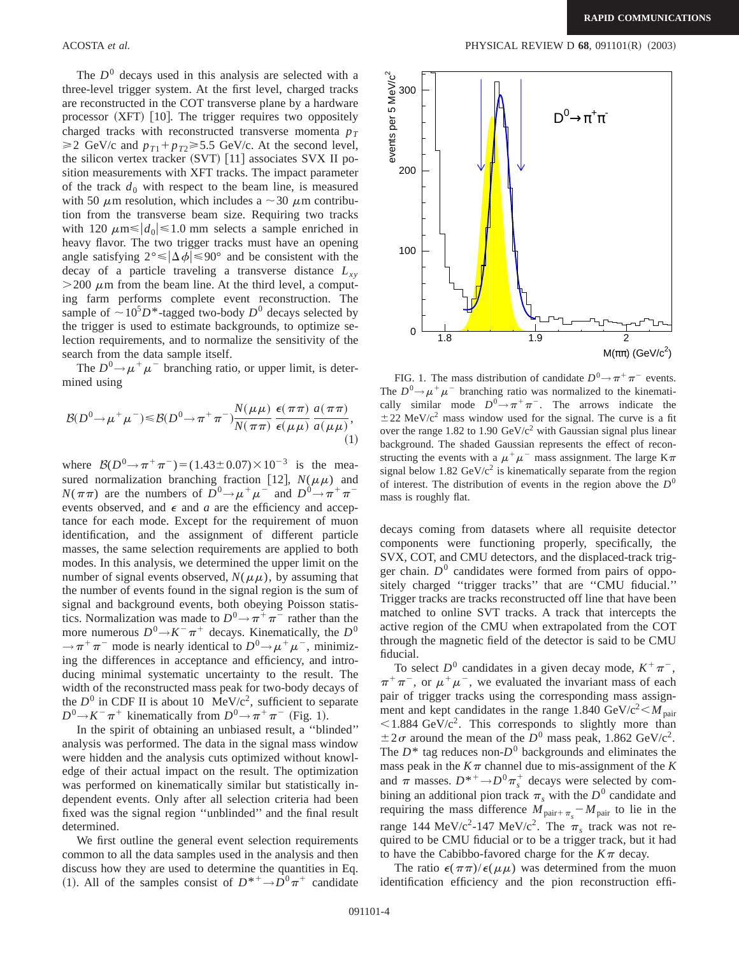The  $D<sup>0</sup>$  decays used in this analysis are selected with a three-level trigger system. At the first level, charged tracks are reconstructed in the COT transverse plane by a hardware processor  $(XFT)$  [10]. The trigger requires two oppositely charged tracks with reconstructed transverse momenta  $p_T$  $\geq$ 2 GeV/c and  $p_{T1} + p_{T2} \geq 5.5$  GeV/c. At the second level, the silicon vertex tracker  $(SVT)$  [11] associates SVX II position measurements with XFT tracks. The impact parameter of the track  $d_0$  with respect to the beam line, is measured with 50  $\mu$ m resolution, which includes a  $\sim$  30  $\mu$ m contribution from the transverse beam size. Requiring two tracks with 120  $\mu$ m selects a sample enriched in heavy flavor. The two trigger tracks must have an opening angle satisfying  $2^{\circ} \le |\Delta \phi| \le 90^{\circ}$  and be consistent with the decay of a particle traveling a transverse distance  $L_{xy}$  $>$  200  $\mu$ m from the beam line. At the third level, a computing farm performs complete event reconstruction. The sample of  $\sim 10^5 D^*$ -tagged two-body  $D^0$  decays selected by the trigger is used to estimate backgrounds, to optimize selection requirements, and to normalize the sensitivity of the search from the data sample itself.

The  $D^0 \rightarrow \mu^+ \mu^-$  branching ratio, or upper limit, is determined using

$$
\mathcal{B}(D^0 \to \mu^+ \mu^-) \leq \mathcal{B}(D^0 \to \pi^+ \pi^-) \frac{N(\mu \mu)}{N(\pi \pi)} \frac{\epsilon(\pi \pi)}{\epsilon(\mu \mu)} \frac{a(\pi \pi)}{a(\mu \mu)},
$$
\n(1)

where  $B(D^0 \rightarrow \pi^+ \pi^-) = (1.43 \pm 0.07) \times 10^{-3}$  is the measured normalization branching fraction [12],  $N(\mu\mu)$  and  $N(\pi \pi)$  are the numbers of  $D^0 \rightarrow \mu^+ \mu^-$  and  $D^0 \rightarrow \pi^+ \pi^$ events observed, and  $\epsilon$  and  $a$  are the efficiency and acceptance for each mode. Except for the requirement of muon identification, and the assignment of different particle masses, the same selection requirements are applied to both modes. In this analysis, we determined the upper limit on the number of signal events observed,  $N(\mu\mu)$ , by assuming that the number of events found in the signal region is the sum of signal and background events, both obeying Poisson statistics. Normalization was made to  $D^0 \rightarrow \pi^+\pi^-$  rather than the more numerous  $D^0 \rightarrow K^- \pi^+$  decays. Kinematically, the  $D^0$  $\rightarrow \pi^+\pi^-$  mode is nearly identical to  $D^0 \rightarrow \mu^+\mu^-$ , minimizing the differences in acceptance and efficiency, and introducing minimal systematic uncertainty to the result. The width of the reconstructed mass peak for two-body decays of the  $D^0$  in CDF II is about 10 MeV/ $c^2$ , sufficient to separate  $D^0 \rightarrow K^- \pi^+$  kinematically from  $D^0 \rightarrow \pi^+ \pi^-$  (Fig. 1).

In the spirit of obtaining an unbiased result, a ''blinded'' analysis was performed. The data in the signal mass window were hidden and the analysis cuts optimized without knowledge of their actual impact on the result. The optimization was performed on kinematically similar but statistically independent events. Only after all selection criteria had been fixed was the signal region ''unblinded'' and the final result determined.

We first outline the general event selection requirements common to all the data samples used in the analysis and then discuss how they are used to determine the quantities in Eq. (1). All of the samples consist of  $D^{*+}\to D^0\pi^+$  candidate

#### ACOSTA *et al.* PHYSICAL REVIEW D **68**, 091101(R) (2003)



FIG. 1. The mass distribution of candidate  $D^0 \rightarrow \pi^+\pi^-$  events. The  $D^0 \rightarrow \mu^+ \mu^-$  branching ratio was normalized to the kinematically similar mode  $D^0 \rightarrow \pi^+ \pi^-$ . The arrows indicate the  $\pm$  22 MeV/c<sup>2</sup> mass window used for the signal. The curve is a fit over the range 1.82 to 1.90  $\text{GeV/c}^2$  with Gaussian signal plus linear background. The shaded Gaussian represents the effect of reconstructing the events with a  $\mu^+\mu^-$  mass assignment. The large K $\pi$ signal below 1.82 GeV/ $c^2$  is kinematically separate from the region of interest. The distribution of events in the region above the  $D^0$ mass is roughly flat.

decays coming from datasets where all requisite detector components were functioning properly, specifically, the SVX, COT, and CMU detectors, and the displaced-track trigger chain.  $D^0$  candidates were formed from pairs of oppositely charged ''trigger tracks'' that are ''CMU fiducial.'' Trigger tracks are tracks reconstructed off line that have been matched to online SVT tracks. A track that intercepts the active region of the CMU when extrapolated from the COT through the magnetic field of the detector is said to be CMU fiducial.

To select  $D^0$  candidates in a given decay mode,  $K^+\pi^-$ ,  $\pi^+\pi^-$ , or  $\mu^+\mu^-$ , we evaluated the invariant mass of each pair of trigger tracks using the corresponding mass assignment and kept candidates in the range 1.840 GeV/ $c^2 < M_{\text{pair}}$  $\leq$ 1.884 GeV/c<sup>2</sup>. This corresponds to slightly more than  $\pm 2\sigma$  around the mean of the  $D^0$  mass peak, 1.862 GeV/c<sup>2</sup>. The  $D^*$  tag reduces non- $D^0$  backgrounds and eliminates the mass peak in the  $K\pi$  channel due to mis-assignment of the  $K$ and  $\pi$  masses.  $D^{*+}\rightarrow D^0\pi_s^+$  decays were selected by combining an additional pion track  $\pi_s$  with the  $D^0$  candidate and requiring the mass difference  $M_{\text{pair}+\pi_s} - M_{\text{pair}}$  to lie in the range 144 MeV/c<sup>2</sup>-147 MeV/c<sup>2</sup>. The  $\pi$ <sub>s</sub> track was not required to be CMU fiducial or to be a trigger track, but it had to have the Cabibbo-favored charge for the  $K\pi$  decay.

The ratio  $\epsilon(\pi\pi)/\epsilon(\mu\mu)$  was determined from the muon identification efficiency and the pion reconstruction effi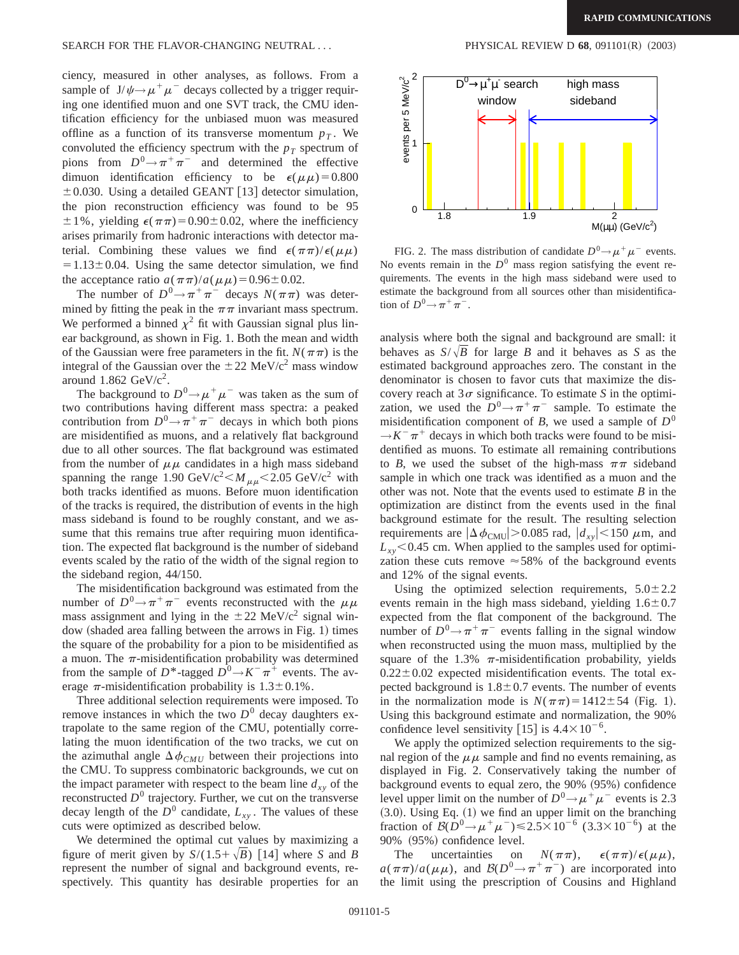ciency, measured in other analyses, as follows. From a sample of  $J/\psi \rightarrow \mu^+\mu^-$  decays collected by a trigger requiring one identified muon and one SVT track, the CMU identification efficiency for the unbiased muon was measured offline as a function of its transverse momentum  $p<sub>T</sub>$ . We convoluted the efficiency spectrum with the  $p_T$  spectrum of pions from  $D^0 \rightarrow \pi^+ \pi^-$  and determined the effective dimuon identification efficiency to be  $\epsilon(\mu\mu)$ =0.800  $\pm$  0.030. Using a detailed GEANT [13] detector simulation, the pion reconstruction efficiency was found to be 95  $\pm 1\%$ , yielding  $\epsilon(\pi\pi)=0.90\pm0.02$ , where the inefficiency arises primarily from hadronic interactions with detector material. Combining these values we find  $\epsilon(\pi\pi)/\epsilon(\mu\mu)$  $=1.13\pm0.04$ . Using the same detector simulation, we find the acceptance ratio  $a(\pi \pi)/a(\mu \mu) = 0.96 \pm 0.02$ .

The number of  $D^0 \rightarrow \pi^+ \pi^-$  decays  $N(\pi \pi)$  was determined by fitting the peak in the  $\pi\pi$  invariant mass spectrum. We performed a binned  $\chi^2$  fit with Gaussian signal plus linear background, as shown in Fig. 1. Both the mean and width of the Gaussian were free parameters in the fit.  $N(\pi \pi)$  is the integral of the Gaussian over the  $\pm 22$  MeV/c<sup>2</sup> mass window around  $1.862 \text{ GeV}/c^2$ .

The background to  $D^0 \rightarrow \mu^+ \mu^-$  was taken as the sum of two contributions having different mass spectra: a peaked contribution from  $D^0 \rightarrow \pi^+ \pi^-$  decays in which both pions are misidentified as muons, and a relatively flat background due to all other sources. The flat background was estimated from the number of  $\mu\mu$  candidates in a high mass sideband spanning the range 1.90 GeV/c<sup>2</sup>  $\lt M_{\mu\mu}$   $\lt 2.05$  GeV/c<sup>2</sup> with both tracks identified as muons. Before muon identification of the tracks is required, the distribution of events in the high mass sideband is found to be roughly constant, and we assume that this remains true after requiring muon identification. The expected flat background is the number of sideband events scaled by the ratio of the width of the signal region to the sideband region, 44/150.

The misidentification background was estimated from the number of  $D^0 \rightarrow \pi^+ \pi^-$  events reconstructed with the  $\mu\mu$ mass assignment and lying in the  $\pm 22$  MeV/c<sup>2</sup> signal window (shaded area falling between the arrows in Fig. 1) times the square of the probability for a pion to be misidentified as a muon. The  $\pi$ -misidentification probability was determined from the sample of  $D^*$ -tagged  $D^0 \rightarrow K^- \pi^+$  events. The average  $\pi$ -misidentification probability is  $1.3 \pm 0.1\%$ .

Three additional selection requirements were imposed. To remove instances in which the two  $D^0$  decay daughters extrapolate to the same region of the CMU, potentially correlating the muon identification of the two tracks, we cut on the azimuthal angle  $\Delta \phi_{CMU}$  between their projections into the CMU. To suppress combinatoric backgrounds, we cut on the impact parameter with respect to the beam line  $d_{xy}$  of the reconstructed  $D^0$  trajectory. Further, we cut on the transverse decay length of the  $D^0$  candidate,  $L_{xy}$ . The values of these cuts were optimized as described below.

We determined the optimal cut values by maximizing a figure of merit given by  $S/(1.5+\sqrt{B})$  [14] where *S* and *B* represent the number of signal and background events, respectively. This quantity has desirable properties for an



FIG. 2. The mass distribution of candidate  $D^0 \rightarrow \mu^+ \mu^-$  events. No events remain in the  $D^0$  mass region satisfying the event requirements. The events in the high mass sideband were used to estimate the background from all sources other than misidentification of  $D^0 \rightarrow \pi^+\pi^-$ .

analysis where both the signal and background are small: it behaves as  $S/\sqrt{B}$  for large *B* and it behaves as *S* as the estimated background approaches zero. The constant in the denominator is chosen to favor cuts that maximize the discovery reach at  $3\sigma$  significance. To estimate *S* in the optimization, we used the  $D^0 \rightarrow \pi^+ \pi^-$  sample. To estimate the misidentification component of *B*, we used a sample of  $D^0$  $\rightarrow K^- \pi^+$  decays in which both tracks were found to be misidentified as muons. To estimate all remaining contributions to *B*, we used the subset of the high-mass  $\pi\pi$  sideband sample in which one track was identified as a muon and the other was not. Note that the events used to estimate *B* in the optimization are distinct from the events used in the final background estimate for the result. The resulting selection requirements are  $|\Delta \phi_{\text{CMU}}| > 0.085$  rad,  $|d_{xy}| < 150 \mu$ m, and  $L_{xy}$ <0.45 cm. When applied to the samples used for optimization these cuts remove  $\approx 58\%$  of the background events and 12% of the signal events.

Using the optimized selection requirements,  $5.0 \pm 2.2$ events remain in the high mass sideband, yielding  $1.6 \pm 0.7$ expected from the flat component of the background. The number of  $D^0 \rightarrow \pi^+ \pi^-$  events falling in the signal window when reconstructed using the muon mass, multiplied by the square of the 1.3%  $\pi$ -misidentification probability, yields  $0.22 \pm 0.02$  expected misidentification events. The total expected background is  $1.8 \pm 0.7$  events. The number of events in the normalization mode is  $N(\pi\pi) = 1412 \pm 54$  (Fig. 1). Using this background estimate and normalization, the 90% confidence level sensitivity [15] is  $4.4 \times 10^{-6}$ .

We apply the optimized selection requirements to the signal region of the  $\mu\mu$  sample and find no events remaining, as displayed in Fig. 2. Conservatively taking the number of background events to equal zero, the 90% (95%) confidence level upper limit on the number of  $D^0 \rightarrow \mu^+ \mu^-$  events is 2.3  $(3.0)$ . Using Eq.  $(1)$  we find an upper limit on the branching fraction of  $B(D^0 \to \mu^+ \mu^-) \le 2.5 \times 10^{-6}$  (3.3×10<sup>-6</sup>) at the 90% (95%) confidence level.

The uncertainties on  $N(\pi \pi)$ ,  $\epsilon(\pi \pi)/\epsilon(\mu \mu)$ ,  $a(\pi\pi)/a(\mu\mu)$ , and  $B(D^0 \rightarrow \pi^+\pi^-)$  are incorporated into the limit using the prescription of Cousins and Highland